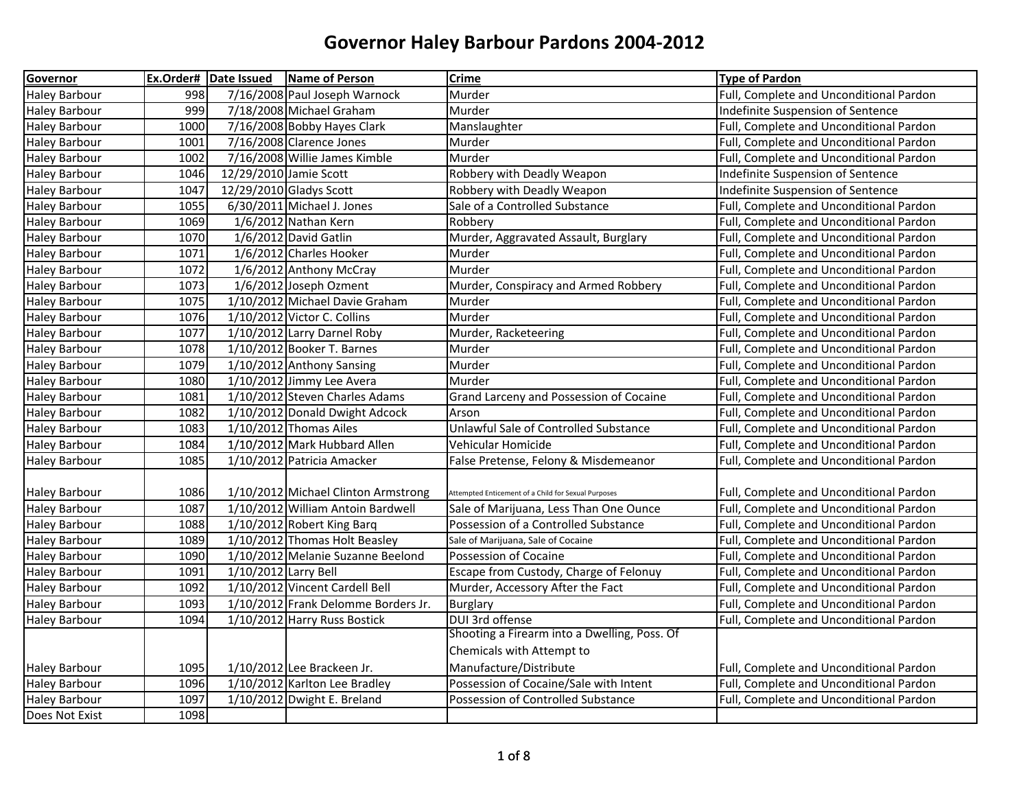| Governor             |                   |                        | <b>Ex.Order# Date Issued Name of Person</b> | Crime                                               | <b>Type of Pardon</b>                   |
|----------------------|-------------------|------------------------|---------------------------------------------|-----------------------------------------------------|-----------------------------------------|
| <b>Haley Barbour</b> | 998               |                        | 7/16/2008 Paul Joseph Warnock               | Murder                                              | Full, Complete and Unconditional Pardon |
| <b>Haley Barbour</b> | 999               |                        | 7/18/2008 Michael Graham                    | Murder                                              | Indefinite Suspension of Sentence       |
| <b>Haley Barbour</b> | 1000              |                        | 7/16/2008 Bobby Hayes Clark                 | Manslaughter                                        | Full, Complete and Unconditional Pardon |
| <b>Haley Barbour</b> | 1001              |                        | 7/16/2008 Clarence Jones                    | Murder                                              | Full, Complete and Unconditional Pardon |
| <b>Haley Barbour</b> | $100\overline{2}$ |                        | 7/16/2008 Willie James Kimble               | Murder                                              | Full, Complete and Unconditional Pardon |
| <b>Haley Barbour</b> | 1046              | 12/29/2010 Jamie Scott |                                             | Robbery with Deadly Weapon                          | Indefinite Suspension of Sentence       |
| <b>Haley Barbour</b> | 1047              |                        | 12/29/2010 Gladys Scott                     | Robbery with Deadly Weapon                          | Indefinite Suspension of Sentence       |
| <b>Haley Barbour</b> | 1055              |                        | 6/30/2011 Michael J. Jones                  | Sale of a Controlled Substance                      | Full, Complete and Unconditional Pardon |
| <b>Haley Barbour</b> | 1069              |                        | 1/6/2012 Nathan Kern                        | Robbery                                             | Full, Complete and Unconditional Pardon |
| <b>Haley Barbour</b> | 1070              |                        | 1/6/2012 David Gatlin                       | Murder, Aggravated Assault, Burglary                | Full, Complete and Unconditional Pardon |
| <b>Haley Barbour</b> | 1071              |                        | 1/6/2012 Charles Hooker                     | Murder                                              | Full, Complete and Unconditional Pardon |
| <b>Haley Barbour</b> | 1072              |                        | 1/6/2012 Anthony McCray                     | Murder                                              | Full, Complete and Unconditional Pardon |
| <b>Haley Barbour</b> | 1073              |                        | 1/6/2012 Joseph Ozment                      | Murder, Conspiracy and Armed Robbery                | Full, Complete and Unconditional Pardon |
| <b>Haley Barbour</b> | 1075              |                        | 1/10/2012 Michael Davie Graham              | Murder                                              | Full, Complete and Unconditional Pardon |
| <b>Haley Barbour</b> | 1076              |                        | 1/10/2012 Victor C. Collins                 | Murder                                              | Full, Complete and Unconditional Pardon |
| <b>Haley Barbour</b> | 1077              |                        | 1/10/2012 Larry Darnel Roby                 | Murder, Racketeering                                | Full, Complete and Unconditional Pardon |
| <b>Haley Barbour</b> | 1078              |                        | 1/10/2012 Booker T. Barnes                  | Murder                                              | Full, Complete and Unconditional Pardon |
| <b>Haley Barbour</b> | 1079              |                        | 1/10/2012 Anthony Sansing                   | Murder                                              | Full, Complete and Unconditional Pardon |
| <b>Haley Barbour</b> | 1080              |                        | 1/10/2012 Jimmy Lee Avera                   | Murder                                              | Full, Complete and Unconditional Pardon |
| <b>Haley Barbour</b> | 1081              |                        | 1/10/2012 Steven Charles Adams              | Grand Larceny and Possession of Cocaine             | Full, Complete and Unconditional Pardon |
| <b>Haley Barbour</b> | 1082              |                        | 1/10/2012 Donald Dwight Adcock              | Arson                                               | Full, Complete and Unconditional Pardon |
| <b>Haley Barbour</b> | 1083              |                        | 1/10/2012 Thomas Ailes                      | Unlawful Sale of Controlled Substance               | Full, Complete and Unconditional Pardon |
| <b>Haley Barbour</b> | 1084              |                        | 1/10/2012 Mark Hubbard Allen                | Vehicular Homicide                                  | Full, Complete and Unconditional Pardon |
| <b>Haley Barbour</b> | 1085              |                        | 1/10/2012 Patricia Amacker                  | False Pretense, Felony & Misdemeanor                | Full, Complete and Unconditional Pardon |
| <b>Haley Barbour</b> | 1086              |                        | 1/10/2012 Michael Clinton Armstrong         | Attempted Enticement of a Child for Sexual Purposes | Full, Complete and Unconditional Pardon |
| <b>Haley Barbour</b> | 1087              |                        | 1/10/2012 William Antoin Bardwell           | Sale of Marijuana, Less Than One Ounce              | Full, Complete and Unconditional Pardon |
| <b>Haley Barbour</b> | 1088              |                        | 1/10/2012 Robert King Barq                  | Possession of a Controlled Substance                | Full, Complete and Unconditional Pardon |
| <b>Haley Barbour</b> | 1089              |                        | 1/10/2012 Thomas Holt Beasley               | Sale of Marijuana, Sale of Cocaine                  | Full, Complete and Unconditional Pardon |
| <b>Haley Barbour</b> | 1090              |                        | 1/10/2012 Melanie Suzanne Beelond           | Possession of Cocaine                               | Full, Complete and Unconditional Pardon |
| <b>Haley Barbour</b> | 1091              | 1/10/2012 Larry Bell   |                                             | Escape from Custody, Charge of Felonuy              | Full, Complete and Unconditional Pardon |
| <b>Haley Barbour</b> | 1092              |                        | 1/10/2012 Vincent Cardell Bell              | Murder, Accessory After the Fact                    | Full, Complete and Unconditional Pardon |
| <b>Haley Barbour</b> | 1093              |                        | 1/10/2012 Frank Delomme Borders Jr.         | <b>Burglary</b>                                     | Full, Complete and Unconditional Pardon |
| <b>Haley Barbour</b> | 1094              |                        | 1/10/2012 Harry Russ Bostick                | DUI 3rd offense                                     | Full, Complete and Unconditional Pardon |
|                      |                   |                        |                                             | Shooting a Firearm into a Dwelling, Poss. Of        |                                         |
|                      |                   |                        |                                             | Chemicals with Attempt to                           |                                         |
| <b>Haley Barbour</b> | 1095              |                        | 1/10/2012 Lee Brackeen Jr.                  | Manufacture/Distribute                              | Full, Complete and Unconditional Pardon |
| <b>Haley Barbour</b> | 1096              |                        | 1/10/2012 Karlton Lee Bradley               | Possession of Cocaine/Sale with Intent              | Full, Complete and Unconditional Pardon |
| <b>Haley Barbour</b> | 1097              |                        | 1/10/2012 Dwight E. Breland                 | Possession of Controlled Substance                  | Full, Complete and Unconditional Pardon |
| Does Not Exist       | 1098              |                        |                                             |                                                     |                                         |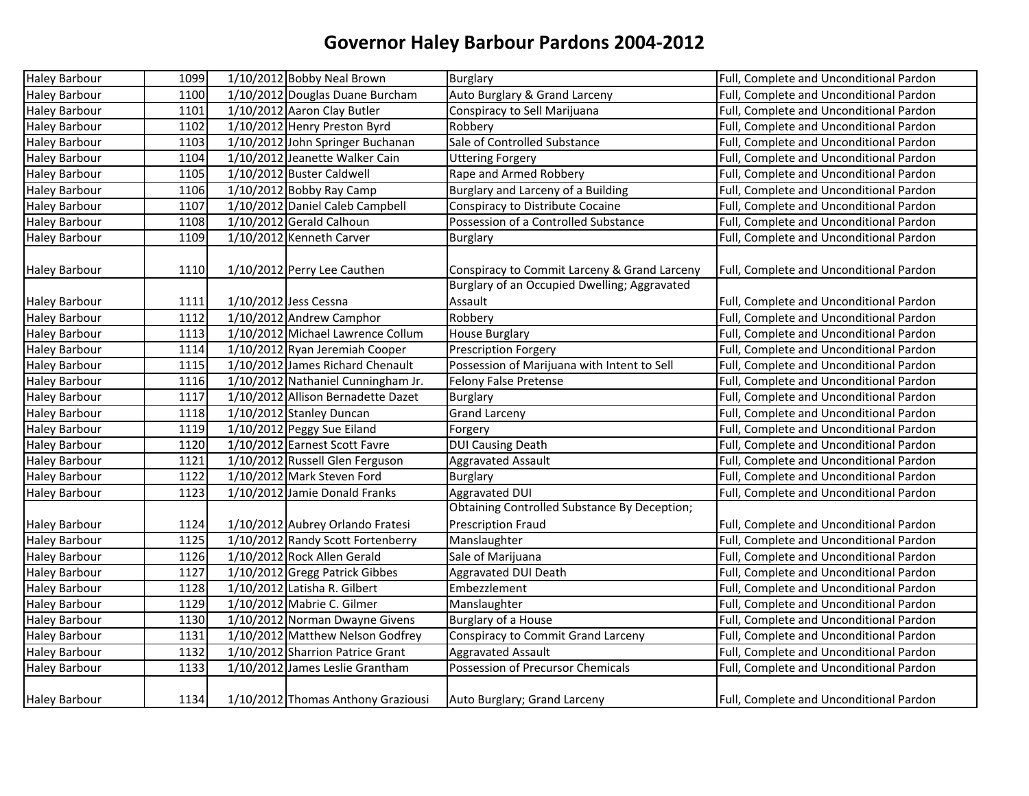| <b>Haley Barbour</b> | 1099 |                       | 1/10/2012 Bobby Neal Brown         | <b>Burglary</b>                                                                              | Full, Complete and Unconditional Pardon |
|----------------------|------|-----------------------|------------------------------------|----------------------------------------------------------------------------------------------|-----------------------------------------|
| <b>Haley Barbour</b> | 1100 |                       | 1/10/2012 Douglas Duane Burcham    | Auto Burglary & Grand Larceny                                                                | Full, Complete and Unconditional Pardon |
| <b>Haley Barbour</b> | 1101 |                       | 1/10/2012 Aaron Clay Butler        | Conspiracy to Sell Marijuana                                                                 | Full, Complete and Unconditional Pardon |
| <b>Haley Barbour</b> | 1102 |                       | 1/10/2012 Henry Preston Byrd       | Robbery                                                                                      | Full, Complete and Unconditional Pardon |
| <b>Haley Barbour</b> | 1103 |                       | 1/10/2012 John Springer Buchanan   | Sale of Controlled Substance                                                                 | Full, Complete and Unconditional Pardon |
| <b>Haley Barbour</b> | 1104 |                       | 1/10/2012 Jeanette Walker Cain     | <b>Uttering Forgery</b>                                                                      | Full, Complete and Unconditional Pardon |
| <b>Haley Barbour</b> | 1105 |                       | 1/10/2012 Buster Caldwell          | Rape and Armed Robbery                                                                       | Full, Complete and Unconditional Pardon |
| <b>Haley Barbour</b> | 1106 |                       | 1/10/2012 Bobby Ray Camp           | Burglary and Larceny of a Building                                                           | Full, Complete and Unconditional Pardon |
| <b>Haley Barbour</b> | 1107 |                       | 1/10/2012 Daniel Caleb Campbell    | Conspiracy to Distribute Cocaine                                                             | Full, Complete and Unconditional Pardon |
| <b>Haley Barbour</b> | 1108 |                       | 1/10/2012 Gerald Calhoun           | Possession of a Controlled Substance                                                         | Full, Complete and Unconditional Pardon |
| <b>Haley Barbour</b> | 1109 |                       | 1/10/2012 Kenneth Carver           | <b>Burglary</b>                                                                              | Full, Complete and Unconditional Pardon |
| <b>Haley Barbour</b> | 1110 |                       | 1/10/2012 Perry Lee Cauthen        | Conspiracy to Commit Larceny & Grand Larceny<br>Burglary of an Occupied Dwelling; Aggravated | Full, Complete and Unconditional Pardon |
| <b>Haley Barbour</b> | 1111 | 1/10/2012 Jess Cessna |                                    | Assault                                                                                      | Full, Complete and Unconditional Pardon |
| <b>Haley Barbour</b> | 1112 |                       | 1/10/2012 Andrew Camphor           | Robbery                                                                                      | Full, Complete and Unconditional Pardon |
| <b>Haley Barbour</b> | 1113 |                       | 1/10/2012 Michael Lawrence Collum  | <b>House Burglary</b>                                                                        | Full, Complete and Unconditional Pardon |
| <b>Haley Barbour</b> | 1114 |                       | 1/10/2012 Ryan Jeremiah Cooper     | <b>Prescription Forgery</b>                                                                  | Full, Complete and Unconditional Pardon |
| <b>Haley Barbour</b> | 1115 |                       | 1/10/2012 James Richard Chenault   | Possession of Marijuana with Intent to Sell                                                  | Full, Complete and Unconditional Pardon |
| <b>Haley Barbour</b> | 1116 |                       | 1/10/2012 Nathaniel Cunningham Jr. | <b>Felony False Pretense</b>                                                                 | Full, Complete and Unconditional Pardon |
| <b>Haley Barbour</b> | 1117 |                       | 1/10/2012 Allison Bernadette Dazet | <b>Burglary</b>                                                                              | Full, Complete and Unconditional Pardon |
| <b>Haley Barbour</b> | 1118 |                       | 1/10/2012 Stanley Duncan           | <b>Grand Larceny</b>                                                                         | Full, Complete and Unconditional Pardon |
| <b>Haley Barbour</b> | 1119 |                       | 1/10/2012 Peggy Sue Eiland         | Forgery                                                                                      | Full, Complete and Unconditional Pardon |
| <b>Haley Barbour</b> | 1120 |                       | 1/10/2012 Earnest Scott Favre      | <b>DUI Causing Death</b>                                                                     | Full, Complete and Unconditional Pardon |
| <b>Haley Barbour</b> | 1121 |                       | 1/10/2012 Russell Glen Ferguson    | <b>Aggravated Assault</b>                                                                    | Full, Complete and Unconditional Pardon |
| <b>Haley Barbour</b> | 1122 |                       | 1/10/2012 Mark Steven Ford         | <b>Burglary</b>                                                                              | Full, Complete and Unconditional Pardon |
| <b>Haley Barbour</b> | 1123 |                       | 1/10/2012 Jamie Donald Franks      | <b>Aggravated DUI</b>                                                                        | Full, Complete and Unconditional Pardon |
|                      |      |                       |                                    | Obtaining Controlled Substance By Deception;                                                 |                                         |
| <b>Haley Barbour</b> | 1124 |                       | 1/10/2012 Aubrey Orlando Fratesi   | <b>Prescription Fraud</b>                                                                    | Full, Complete and Unconditional Pardon |
| <b>Haley Barbour</b> | 1125 |                       | 1/10/2012 Randy Scott Fortenberry  | Manslaughter                                                                                 | Full, Complete and Unconditional Pardon |
| <b>Haley Barbour</b> | 1126 |                       | 1/10/2012 Rock Allen Gerald        | Sale of Marijuana                                                                            | Full, Complete and Unconditional Pardon |
| <b>Haley Barbour</b> | 1127 |                       | 1/10/2012 Gregg Patrick Gibbes     | Aggravated DUI Death                                                                         | Full, Complete and Unconditional Pardon |
| <b>Haley Barbour</b> | 1128 |                       | 1/10/2012 Latisha R. Gilbert       | Embezzlement                                                                                 | Full, Complete and Unconditional Pardon |
| <b>Haley Barbour</b> | 1129 |                       | 1/10/2012 Mabrie C. Gilmer         | Manslaughter                                                                                 | Full, Complete and Unconditional Pardon |
| <b>Haley Barbour</b> | 1130 |                       | 1/10/2012 Norman Dwayne Givens     | Burglary of a House                                                                          | Full, Complete and Unconditional Pardon |
| <b>Haley Barbour</b> | 1131 |                       | 1/10/2012 Matthew Nelson Godfrey   | Conspiracy to Commit Grand Larceny                                                           | Full, Complete and Unconditional Pardon |
| <b>Haley Barbour</b> | 1132 |                       | 1/10/2012 Sharrion Patrice Grant   | <b>Aggravated Assault</b>                                                                    | Full, Complete and Unconditional Pardon |
| <b>Haley Barbour</b> | 1133 |                       | 1/10/2012 James Leslie Grantham    | Possession of Precursor Chemicals                                                            | Full, Complete and Unconditional Pardon |
| <b>Haley Barbour</b> | 1134 |                       | 1/10/2012 Thomas Anthony Graziousi | Auto Burglary; Grand Larceny                                                                 | Full, Complete and Unconditional Pardon |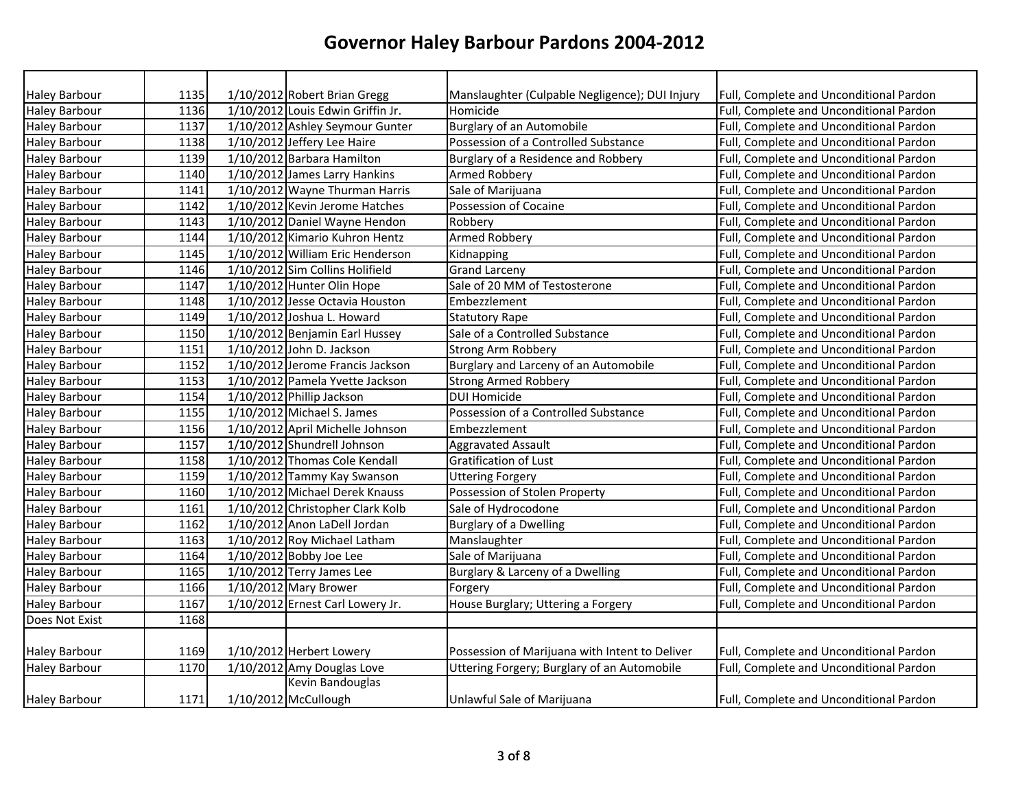| <b>Haley Barbour</b> | 1135 | 1/10/2012 Robert Brian Gregg      | Manslaughter (Culpable Negligence); DUI Injury | Full, Complete and Unconditional Pardon |
|----------------------|------|-----------------------------------|------------------------------------------------|-----------------------------------------|
| <b>Haley Barbour</b> | 1136 | 1/10/2012 Louis Edwin Griffin Jr. | Homicide                                       | Full, Complete and Unconditional Pardon |
| <b>Haley Barbour</b> | 1137 | 1/10/2012 Ashley Seymour Gunter   | <b>Burglary of an Automobile</b>               | Full, Complete and Unconditional Pardon |
| <b>Haley Barbour</b> | 1138 | 1/10/2012 Jeffery Lee Haire       | Possession of a Controlled Substance           | Full, Complete and Unconditional Pardon |
| <b>Haley Barbour</b> | 1139 | 1/10/2012 Barbara Hamilton        | Burglary of a Residence and Robbery            | Full, Complete and Unconditional Pardon |
| <b>Haley Barbour</b> | 1140 | 1/10/2012 James Larry Hankins     | Armed Robbery                                  | Full, Complete and Unconditional Pardon |
| <b>Haley Barbour</b> | 1141 | 1/10/2012 Wayne Thurman Harris    | Sale of Marijuana                              | Full, Complete and Unconditional Pardon |
| <b>Haley Barbour</b> | 1142 | 1/10/2012 Kevin Jerome Hatches    | Possession of Cocaine                          | Full, Complete and Unconditional Pardon |
| <b>Haley Barbour</b> | 1143 | 1/10/2012 Daniel Wayne Hendon     | Robbery                                        | Full, Complete and Unconditional Pardon |
| <b>Haley Barbour</b> | 1144 | 1/10/2012 Kimario Kuhron Hentz    | Armed Robbery                                  | Full, Complete and Unconditional Pardon |
| <b>Haley Barbour</b> | 1145 | 1/10/2012 William Eric Henderson  | Kidnapping                                     | Full, Complete and Unconditional Pardon |
| <b>Haley Barbour</b> | 1146 | 1/10/2012 Sim Collins Holifield   | <b>Grand Larceny</b>                           | Full, Complete and Unconditional Pardon |
| <b>Haley Barbour</b> | 1147 | 1/10/2012 Hunter Olin Hope        | Sale of 20 MM of Testosterone                  | Full, Complete and Unconditional Pardon |
| <b>Haley Barbour</b> | 1148 | 1/10/2012 Jesse Octavia Houston   | Embezzlement                                   | Full, Complete and Unconditional Pardon |
| <b>Haley Barbour</b> | 1149 | 1/10/2012 Joshua L. Howard        | <b>Statutory Rape</b>                          | Full, Complete and Unconditional Pardon |
| <b>Haley Barbour</b> | 1150 | 1/10/2012 Benjamin Earl Hussey    | Sale of a Controlled Substance                 | Full, Complete and Unconditional Pardon |
| <b>Haley Barbour</b> | 1151 | 1/10/2012 John D. Jackson         | <b>Strong Arm Robbery</b>                      | Full, Complete and Unconditional Pardon |
| <b>Haley Barbour</b> | 1152 | 1/10/2012 Jerome Francis Jackson  | Burglary and Larceny of an Automobile          | Full, Complete and Unconditional Pardon |
| <b>Haley Barbour</b> | 1153 | 1/10/2012 Pamela Yvette Jackson   | <b>Strong Armed Robbery</b>                    | Full, Complete and Unconditional Pardon |
| <b>Haley Barbour</b> | 1154 | 1/10/2012 Phillip Jackson         | <b>DUI Homicide</b>                            | Full, Complete and Unconditional Pardon |
| <b>Haley Barbour</b> | 1155 | 1/10/2012 Michael S. James        | Possession of a Controlled Substance           | Full, Complete and Unconditional Pardon |
| <b>Haley Barbour</b> | 1156 | 1/10/2012 April Michelle Johnson  | Embezzlement                                   | Full, Complete and Unconditional Pardon |
| <b>Haley Barbour</b> | 1157 | 1/10/2012 Shundrell Johnson       | <b>Aggravated Assault</b>                      | Full, Complete and Unconditional Pardon |
| <b>Haley Barbour</b> | 1158 | 1/10/2012 Thomas Cole Kendall     | <b>Gratification of Lust</b>                   | Full, Complete and Unconditional Pardon |
| <b>Haley Barbour</b> | 1159 | 1/10/2012 Tammy Kay Swanson       | <b>Uttering Forgery</b>                        | Full, Complete and Unconditional Pardon |
| <b>Haley Barbour</b> | 1160 | 1/10/2012 Michael Derek Knauss    | Possession of Stolen Property                  | Full, Complete and Unconditional Pardon |
| <b>Haley Barbour</b> | 1161 | 1/10/2012 Christopher Clark Kolb  | Sale of Hydrocodone                            | Full, Complete and Unconditional Pardon |
| <b>Haley Barbour</b> | 1162 | 1/10/2012 Anon LaDell Jordan      | <b>Burglary of a Dwelling</b>                  | Full, Complete and Unconditional Pardon |
| <b>Haley Barbour</b> | 1163 | 1/10/2012 Roy Michael Latham      | Manslaughter                                   | Full, Complete and Unconditional Pardon |
| <b>Haley Barbour</b> | 1164 | 1/10/2012 Bobby Joe Lee           | Sale of Marijuana                              | Full, Complete and Unconditional Pardon |
| <b>Haley Barbour</b> | 1165 | $1/10/2012$ Terry James Lee       | Burglary & Larceny of a Dwelling               | Full, Complete and Unconditional Pardon |
| <b>Haley Barbour</b> | 1166 | 1/10/2012 Mary Brower             | Forgery                                        | Full, Complete and Unconditional Pardon |
| <b>Haley Barbour</b> | 1167 | 1/10/2012 Ernest Carl Lowery Jr.  | House Burglary; Uttering a Forgery             | Full, Complete and Unconditional Pardon |
| Does Not Exist       | 1168 |                                   |                                                |                                         |
|                      |      |                                   |                                                |                                         |
| <b>Haley Barbour</b> | 1169 | 1/10/2012 Herbert Lowery          | Possession of Marijuana with Intent to Deliver | Full, Complete and Unconditional Pardon |
| <b>Haley Barbour</b> | 1170 | 1/10/2012 Amy Douglas Love        | Uttering Forgery; Burglary of an Automobile    | Full, Complete and Unconditional Pardon |
|                      |      | Kevin Bandouglas                  |                                                |                                         |
| <b>Haley Barbour</b> | 1171 | 1/10/2012 McCullough              | Unlawful Sale of Marijuana                     | Full, Complete and Unconditional Pardon |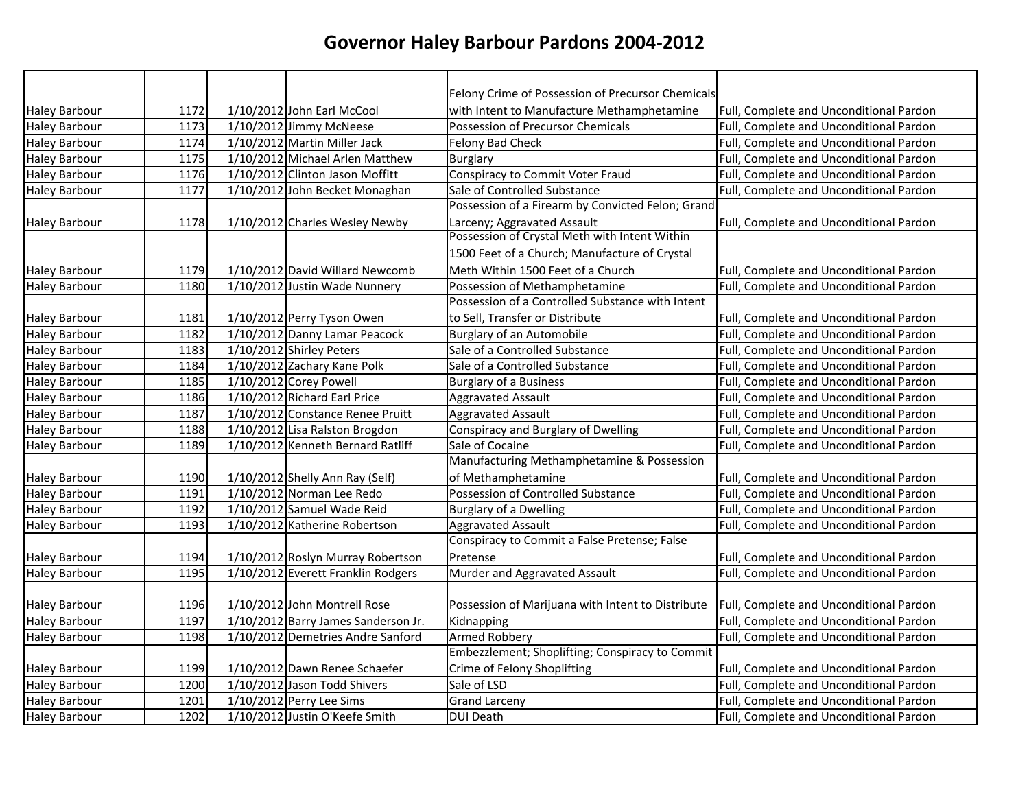|                      |      |                                     | Felony Crime of Possession of Precursor Chemicals |                                         |
|----------------------|------|-------------------------------------|---------------------------------------------------|-----------------------------------------|
| <b>Haley Barbour</b> | 1172 | 1/10/2012 John Earl McCool          | with Intent to Manufacture Methamphetamine        | Full, Complete and Unconditional Pardon |
| <b>Haley Barbour</b> | 1173 | 1/10/2012 Jimmy McNeese             | Possession of Precursor Chemicals                 | Full, Complete and Unconditional Pardon |
| <b>Haley Barbour</b> | 1174 | 1/10/2012 Martin Miller Jack        | Felony Bad Check                                  | Full, Complete and Unconditional Pardon |
| <b>Haley Barbour</b> | 1175 | 1/10/2012 Michael Arlen Matthew     | <b>Burglary</b>                                   | Full, Complete and Unconditional Pardon |
| <b>Haley Barbour</b> | 1176 | 1/10/2012 Clinton Jason Moffitt     | <b>Conspiracy to Commit Voter Fraud</b>           | Full, Complete and Unconditional Pardon |
| <b>Haley Barbour</b> | 1177 | 1/10/2012 John Becket Monaghan      | Sale of Controlled Substance                      | Full, Complete and Unconditional Pardon |
|                      |      |                                     | Possession of a Firearm by Convicted Felon; Grand |                                         |
| <b>Haley Barbour</b> | 1178 | 1/10/2012 Charles Wesley Newby      | Larceny; Aggravated Assault                       | Full, Complete and Unconditional Pardon |
|                      |      |                                     | Possession of Crystal Meth with Intent Within     |                                         |
|                      |      |                                     | 1500 Feet of a Church; Manufacture of Crystal     |                                         |
| <b>Haley Barbour</b> | 1179 | 1/10/2012 David Willard Newcomb     | Meth Within 1500 Feet of a Church                 | Full, Complete and Unconditional Pardon |
| <b>Haley Barbour</b> | 1180 | 1/10/2012 Justin Wade Nunnery       | Possession of Methamphetamine                     | Full, Complete and Unconditional Pardon |
|                      |      |                                     | Possession of a Controlled Substance with Intent  |                                         |
| <b>Haley Barbour</b> | 1181 | 1/10/2012 Perry Tyson Owen          | to Sell, Transfer or Distribute                   | Full, Complete and Unconditional Pardon |
| <b>Haley Barbour</b> | 1182 | 1/10/2012 Danny Lamar Peacock       | <b>Burglary of an Automobile</b>                  | Full, Complete and Unconditional Pardon |
| <b>Haley Barbour</b> | 1183 | 1/10/2012 Shirley Peters            | Sale of a Controlled Substance                    | Full, Complete and Unconditional Pardon |
| <b>Haley Barbour</b> | 1184 | 1/10/2012 Zachary Kane Polk         | Sale of a Controlled Substance                    | Full, Complete and Unconditional Pardon |
| <b>Haley Barbour</b> | 1185 | 1/10/2012 Corey Powell              | <b>Burglary of a Business</b>                     | Full, Complete and Unconditional Pardon |
| <b>Haley Barbour</b> | 1186 | 1/10/2012 Richard Earl Price        | <b>Aggravated Assault</b>                         | Full, Complete and Unconditional Pardon |
| <b>Haley Barbour</b> | 1187 | 1/10/2012 Constance Renee Pruitt    | <b>Aggravated Assault</b>                         | Full, Complete and Unconditional Pardon |
| <b>Haley Barbour</b> | 1188 | 1/10/2012 Lisa Ralston Brogdon      | <b>Conspiracy and Burglary of Dwelling</b>        | Full, Complete and Unconditional Pardon |
| <b>Haley Barbour</b> | 1189 | 1/10/2012 Kenneth Bernard Ratliff   | Sale of Cocaine                                   | Full, Complete and Unconditional Pardon |
|                      |      |                                     | Manufacturing Methamphetamine & Possession        |                                         |
| <b>Haley Barbour</b> | 1190 | 1/10/2012 Shelly Ann Ray (Self)     | of Methamphetamine                                | Full, Complete and Unconditional Pardon |
| <b>Haley Barbour</b> | 1191 | 1/10/2012 Norman Lee Redo           | Possession of Controlled Substance                | Full, Complete and Unconditional Pardon |
| <b>Haley Barbour</b> | 1192 | 1/10/2012 Samuel Wade Reid          | <b>Burglary of a Dwelling</b>                     | Full, Complete and Unconditional Pardon |
| <b>Haley Barbour</b> | 1193 | 1/10/2012 Katherine Robertson       | <b>Aggravated Assault</b>                         | Full, Complete and Unconditional Pardon |
|                      |      |                                     | Conspiracy to Commit a False Pretense; False      |                                         |
| <b>Haley Barbour</b> | 1194 | 1/10/2012 Roslyn Murray Robertson   | Pretense                                          | Full, Complete and Unconditional Pardon |
| <b>Haley Barbour</b> | 1195 | 1/10/2012 Everett Franklin Rodgers  | Murder and Aggravated Assault                     | Full, Complete and Unconditional Pardon |
|                      |      |                                     |                                                   |                                         |
| <b>Haley Barbour</b> | 1196 | 1/10/2012 John Montrell Rose        | Possession of Marijuana with Intent to Distribute | Full, Complete and Unconditional Pardon |
| <b>Haley Barbour</b> | 1197 | 1/10/2012 Barry James Sanderson Jr. | Kidnapping                                        | Full, Complete and Unconditional Pardon |
| <b>Haley Barbour</b> | 1198 | 1/10/2012 Demetries Andre Sanford   | <b>Armed Robbery</b>                              | Full, Complete and Unconditional Pardon |
|                      |      |                                     | Embezzlement; Shoplifting; Conspiracy to Commit   |                                         |
| <b>Haley Barbour</b> | 1199 | 1/10/2012 Dawn Renee Schaefer       | Crime of Felony Shoplifting                       | Full, Complete and Unconditional Pardon |
| <b>Haley Barbour</b> | 1200 | 1/10/2012 Jason Todd Shivers        | Sale of LSD                                       | Full, Complete and Unconditional Pardon |
| <b>Haley Barbour</b> | 1201 | 1/10/2012 Perry Lee Sims            | <b>Grand Larceny</b>                              | Full, Complete and Unconditional Pardon |
| <b>Haley Barbour</b> | 1202 | 1/10/2012 Justin O'Keefe Smith      | <b>DUI Death</b>                                  | Full, Complete and Unconditional Pardon |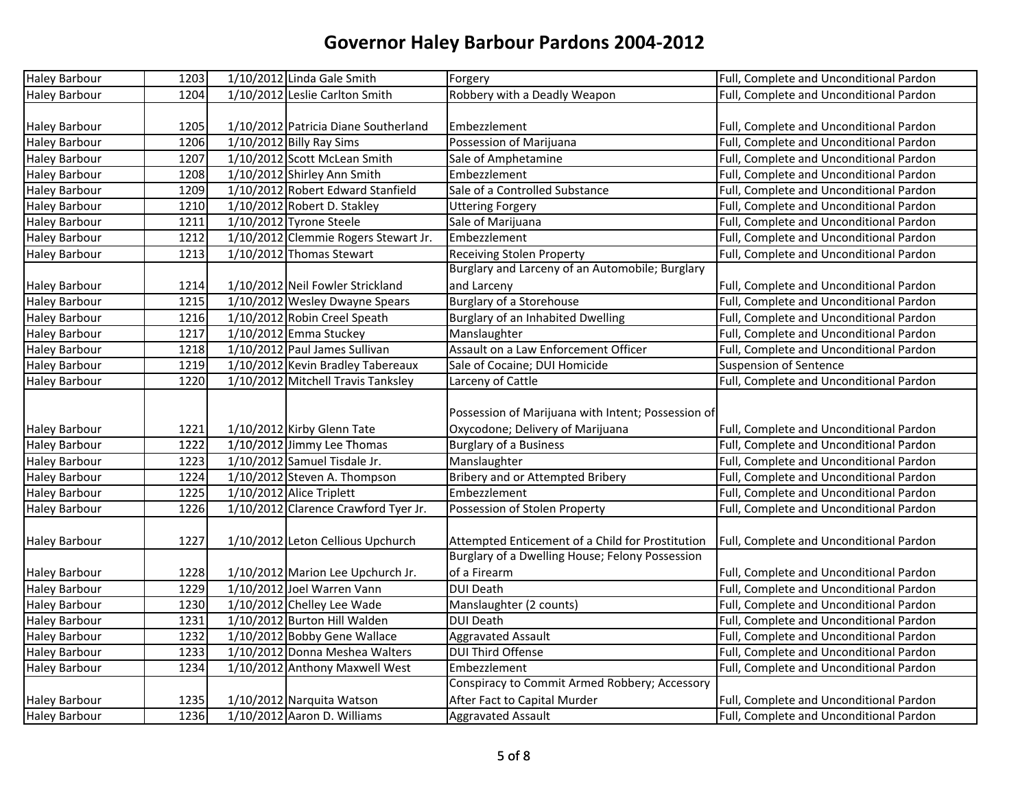| <b>Haley Barbour</b> | 1203 | 1/10/2012 Linda Gale Smith           | Forgery                                            | Full, Complete and Unconditional Pardon |
|----------------------|------|--------------------------------------|----------------------------------------------------|-----------------------------------------|
| <b>Haley Barbour</b> | 1204 | 1/10/2012 Leslie Carlton Smith       | Robbery with a Deadly Weapon                       | Full, Complete and Unconditional Pardon |
|                      |      |                                      |                                                    |                                         |
| <b>Haley Barbour</b> | 1205 | 1/10/2012 Patricia Diane Southerland | Embezzlement                                       | Full, Complete and Unconditional Pardon |
| <b>Haley Barbour</b> | 1206 | $1/10/2012$ Billy Ray Sims           | Possession of Marijuana                            | Full, Complete and Unconditional Pardon |
| <b>Haley Barbour</b> | 1207 | 1/10/2012 Scott McLean Smith         | Sale of Amphetamine                                | Full, Complete and Unconditional Pardon |
| <b>Haley Barbour</b> | 1208 | 1/10/2012 Shirley Ann Smith          | Embezzlement                                       | Full, Complete and Unconditional Pardon |
| <b>Haley Barbour</b> | 1209 | 1/10/2012 Robert Edward Stanfield    | Sale of a Controlled Substance                     | Full, Complete and Unconditional Pardon |
| <b>Haley Barbour</b> | 1210 | 1/10/2012 Robert D. Stakley          | <b>Uttering Forgery</b>                            | Full, Complete and Unconditional Pardon |
| <b>Haley Barbour</b> | 1211 | 1/10/2012 Tyrone Steele              | Sale of Marijuana                                  | Full, Complete and Unconditional Pardon |
| <b>Haley Barbour</b> | 1212 | 1/10/2012 Clemmie Rogers Stewart Jr. | Embezzlement                                       | Full, Complete and Unconditional Pardon |
| <b>Haley Barbour</b> | 1213 | 1/10/2012 Thomas Stewart             | <b>Receiving Stolen Property</b>                   | Full, Complete and Unconditional Pardon |
|                      |      |                                      | Burglary and Larceny of an Automobile; Burglary    |                                         |
| <b>Haley Barbour</b> | 1214 | 1/10/2012 Neil Fowler Strickland     | and Larceny                                        | Full, Complete and Unconditional Pardon |
| <b>Haley Barbour</b> | 1215 | 1/10/2012 Wesley Dwayne Spears       | Burglary of a Storehouse                           | Full, Complete and Unconditional Pardon |
| <b>Haley Barbour</b> | 1216 | 1/10/2012 Robin Creel Speath         | Burglary of an Inhabited Dwelling                  | Full, Complete and Unconditional Pardon |
| <b>Haley Barbour</b> | 1217 | $1/10/2012$ Emma Stuckey             | Manslaughter                                       | Full, Complete and Unconditional Pardon |
| <b>Haley Barbour</b> | 1218 | 1/10/2012 Paul James Sullivan        | Assault on a Law Enforcement Officer               | Full, Complete and Unconditional Pardon |
| <b>Haley Barbour</b> | 1219 | 1/10/2012 Kevin Bradley Tabereaux    | Sale of Cocaine; DUI Homicide                      | <b>Suspension of Sentence</b>           |
| <b>Haley Barbour</b> | 1220 | 1/10/2012 Mitchell Travis Tanksley   | Larceny of Cattle                                  | Full, Complete and Unconditional Pardon |
|                      |      |                                      |                                                    |                                         |
|                      |      |                                      | Possession of Marijuana with Intent; Possession of |                                         |
| <b>Haley Barbour</b> | 1221 | 1/10/2012 Kirby Glenn Tate           | Oxycodone; Delivery of Marijuana                   | Full, Complete and Unconditional Pardon |
| <b>Haley Barbour</b> | 1222 | 1/10/2012 Jimmy Lee Thomas           | <b>Burglary of a Business</b>                      | Full, Complete and Unconditional Pardon |
| <b>Haley Barbour</b> | 1223 | 1/10/2012 Samuel Tisdale Jr.         | Manslaughter                                       | Full, Complete and Unconditional Pardon |
| <b>Haley Barbour</b> | 1224 | 1/10/2012 Steven A. Thompson         | <b>Bribery and or Attempted Bribery</b>            | Full, Complete and Unconditional Pardon |
| <b>Haley Barbour</b> | 1225 | 1/10/2012 Alice Triplett             | Embezzlement                                       | Full, Complete and Unconditional Pardon |
| <b>Haley Barbour</b> | 1226 | 1/10/2012 Clarence Crawford Tyer Jr. | Possession of Stolen Property                      | Full, Complete and Unconditional Pardon |
|                      |      |                                      |                                                    |                                         |
| <b>Haley Barbour</b> | 1227 | 1/10/2012 Leton Cellious Upchurch    | Attempted Enticement of a Child for Prostitution   | Full, Complete and Unconditional Pardon |
|                      |      |                                      | Burglary of a Dwelling House; Felony Possession    |                                         |
| <b>Haley Barbour</b> | 1228 | 1/10/2012 Marion Lee Upchurch Jr.    | of a Firearm                                       | Full, Complete and Unconditional Pardon |
| <b>Haley Barbour</b> | 1229 | 1/10/2012 Joel Warren Vann           | <b>DUI Death</b>                                   | Full, Complete and Unconditional Pardon |
| <b>Haley Barbour</b> | 1230 | 1/10/2012 Chelley Lee Wade           | Manslaughter (2 counts)                            | Full, Complete and Unconditional Pardon |
| <b>Haley Barbour</b> | 1231 | 1/10/2012 Burton Hill Walden         | <b>DUI Death</b>                                   | Full, Complete and Unconditional Pardon |
| <b>Haley Barbour</b> | 1232 | 1/10/2012 Bobby Gene Wallace         | <b>Aggravated Assault</b>                          | Full, Complete and Unconditional Pardon |
| <b>Haley Barbour</b> | 1233 | 1/10/2012 Donna Meshea Walters       | <b>DUI Third Offense</b>                           | Full, Complete and Unconditional Pardon |
| <b>Haley Barbour</b> | 1234 | 1/10/2012 Anthony Maxwell West       | Embezzlement                                       | Full, Complete and Unconditional Pardon |
|                      |      |                                      | Conspiracy to Commit Armed Robbery; Accessory      |                                         |
| <b>Haley Barbour</b> | 1235 | 1/10/2012 Narquita Watson            | After Fact to Capital Murder                       | Full, Complete and Unconditional Pardon |
| <b>Haley Barbour</b> | 1236 | 1/10/2012 Aaron D. Williams          | <b>Aggravated Assault</b>                          | Full, Complete and Unconditional Pardon |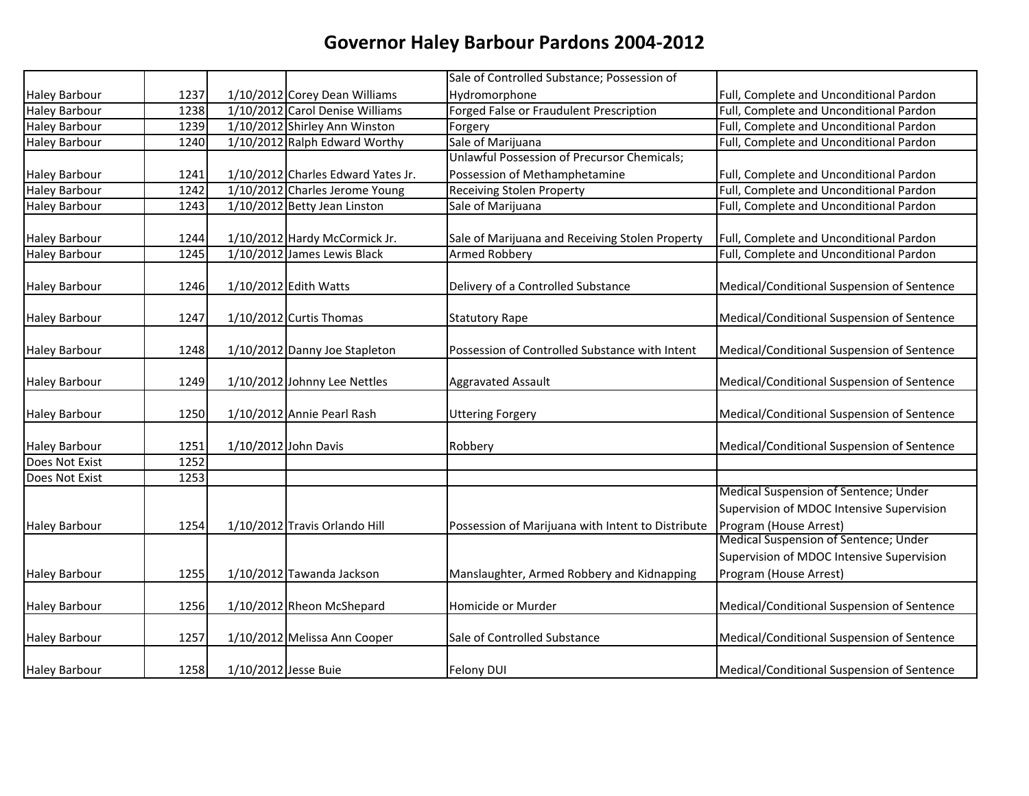|                      |              |                      |                                                              | Sale of Controlled Substance; Possession of                             |                                                                                                                                                       |
|----------------------|--------------|----------------------|--------------------------------------------------------------|-------------------------------------------------------------------------|-------------------------------------------------------------------------------------------------------------------------------------------------------|
| <b>Haley Barbour</b> | 1237         |                      | 1/10/2012 Corey Dean Williams                                | Hydromorphone                                                           | Full, Complete and Unconditional Pardon                                                                                                               |
| <b>Haley Barbour</b> | 1238         |                      | 1/10/2012 Carol Denise Williams                              | Forged False or Fraudulent Prescription                                 | Full, Complete and Unconditional Pardon                                                                                                               |
| <b>Haley Barbour</b> | 1239         |                      | 1/10/2012 Shirley Ann Winston                                | Forgery                                                                 | Full, Complete and Unconditional Pardon                                                                                                               |
| <b>Haley Barbour</b> | 1240         |                      | 1/10/2012 Ralph Edward Worthy                                | Sale of Marijuana                                                       | Full, Complete and Unconditional Pardon                                                                                                               |
|                      |              |                      |                                                              | Unlawful Possession of Precursor Chemicals;                             |                                                                                                                                                       |
| <b>Haley Barbour</b> | 1241         |                      | 1/10/2012 Charles Edward Yates Jr.                           | Possession of Methamphetamine                                           | Full, Complete and Unconditional Pardon                                                                                                               |
| Haley Barbour        | 1242         |                      | 1/10/2012 Charles Jerome Young                               | <b>Receiving Stolen Property</b>                                        | Full, Complete and Unconditional Pardon                                                                                                               |
| <b>Haley Barbour</b> | 1243         |                      | 1/10/2012 Betty Jean Linston                                 | Sale of Marijuana                                                       | Full, Complete and Unconditional Pardon                                                                                                               |
|                      |              |                      |                                                              |                                                                         |                                                                                                                                                       |
| <b>Haley Barbour</b> | 1244<br>1245 |                      | 1/10/2012 Hardy McCormick Jr.<br>1/10/2012 James Lewis Black | Sale of Marijuana and Receiving Stolen Property<br><b>Armed Robbery</b> | Full, Complete and Unconditional Pardon<br>Full, Complete and Unconditional Pardon                                                                    |
| <b>Haley Barbour</b> |              |                      |                                                              |                                                                         |                                                                                                                                                       |
| <b>Haley Barbour</b> | 1246         |                      | 1/10/2012 Edith Watts                                        | Delivery of a Controlled Substance                                      | Medical/Conditional Suspension of Sentence                                                                                                            |
| <b>Haley Barbour</b> | 1247         |                      | 1/10/2012 Curtis Thomas                                      | <b>Statutory Rape</b>                                                   | Medical/Conditional Suspension of Sentence                                                                                                            |
| <b>Haley Barbour</b> | 1248         |                      | 1/10/2012 Danny Joe Stapleton                                | Possession of Controlled Substance with Intent                          | Medical/Conditional Suspension of Sentence                                                                                                            |
|                      |              |                      |                                                              |                                                                         |                                                                                                                                                       |
| <b>Haley Barbour</b> | 1249         |                      | 1/10/2012 Johnny Lee Nettles                                 | <b>Aggravated Assault</b>                                               | Medical/Conditional Suspension of Sentence                                                                                                            |
| <b>Haley Barbour</b> | 1250         |                      | 1/10/2012 Annie Pearl Rash                                   | <b>Uttering Forgery</b>                                                 | Medical/Conditional Suspension of Sentence                                                                                                            |
| <b>Haley Barbour</b> | 1251         | 1/10/2012 John Davis |                                                              | Robbery                                                                 | Medical/Conditional Suspension of Sentence                                                                                                            |
| Does Not Exist       | 1252         |                      |                                                              |                                                                         |                                                                                                                                                       |
| Does Not Exist       | 1253         |                      |                                                              |                                                                         |                                                                                                                                                       |
| <b>Haley Barbour</b> | 1254         |                      | 1/10/2012 Travis Orlando Hill                                | Possession of Marijuana with Intent to Distribute                       | Medical Suspension of Sentence; Under<br>Supervision of MDOC Intensive Supervision<br>Program (House Arrest)<br>Medical Suspension of Sentence; Under |
| <b>Haley Barbour</b> | 1255         |                      | 1/10/2012 Tawanda Jackson                                    | Manslaughter, Armed Robbery and Kidnapping                              | Supervision of MDOC Intensive Supervision<br>Program (House Arrest)                                                                                   |
| <b>Haley Barbour</b> | 1256         |                      | 1/10/2012 Rheon McShepard                                    | Homicide or Murder                                                      | Medical/Conditional Suspension of Sentence                                                                                                            |
| <b>Haley Barbour</b> | 1257         |                      | 1/10/2012 Melissa Ann Cooper                                 | Sale of Controlled Substance                                            | Medical/Conditional Suspension of Sentence                                                                                                            |
| <b>Haley Barbour</b> | 1258         | 1/10/2012 Jesse Buie |                                                              | Felony DUI                                                              | Medical/Conditional Suspension of Sentence                                                                                                            |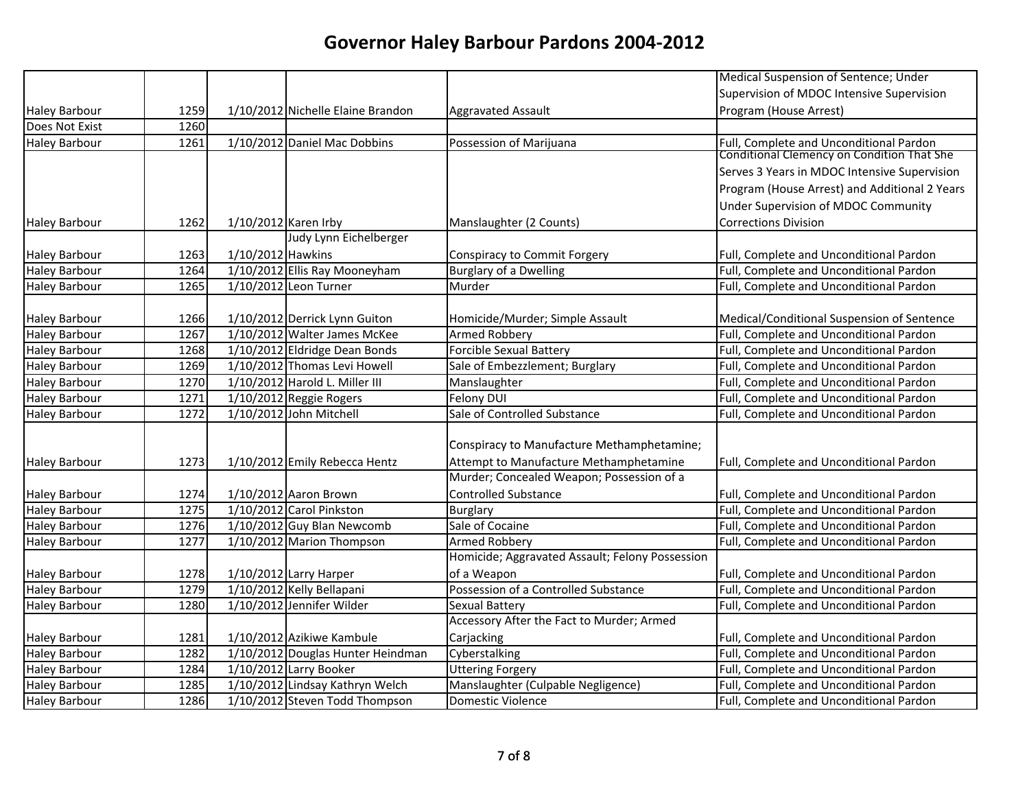|                      |      |                      |                                   |                                                 | Medical Suspension of Sentence; Under         |
|----------------------|------|----------------------|-----------------------------------|-------------------------------------------------|-----------------------------------------------|
|                      |      |                      |                                   |                                                 | Supervision of MDOC Intensive Supervision     |
| <b>Haley Barbour</b> | 1259 |                      | 1/10/2012 Nichelle Elaine Brandon | <b>Aggravated Assault</b>                       | Program (House Arrest)                        |
| Does Not Exist       | 1260 |                      |                                   |                                                 |                                               |
| <b>Haley Barbour</b> | 1261 |                      | 1/10/2012 Daniel Mac Dobbins      | Possession of Marijuana                         | Full, Complete and Unconditional Pardon       |
|                      |      |                      |                                   |                                                 | Conditional Clemency on Condition That She    |
|                      |      |                      |                                   |                                                 | Serves 3 Years in MDOC Intensive Supervision  |
|                      |      |                      |                                   |                                                 | Program (House Arrest) and Additional 2 Years |
|                      |      |                      |                                   |                                                 | Under Supervision of MDOC Community           |
| <b>Haley Barbour</b> | 1262 | 1/10/2012 Karen Irby |                                   | Manslaughter (2 Counts)                         | <b>Corrections Division</b>                   |
|                      |      |                      | Judy Lynn Eichelberger            |                                                 |                                               |
| <b>Haley Barbour</b> | 1263 | 1/10/2012 Hawkins    |                                   | <b>Conspiracy to Commit Forgery</b>             | Full, Complete and Unconditional Pardon       |
| <b>Haley Barbour</b> | 1264 |                      | 1/10/2012 Ellis Ray Mooneyham     | <b>Burglary of a Dwelling</b>                   | Full, Complete and Unconditional Pardon       |
| <b>Haley Barbour</b> | 1265 |                      | 1/10/2012 Leon Turner             | Murder                                          | Full, Complete and Unconditional Pardon       |
|                      |      |                      |                                   |                                                 |                                               |
| <b>Haley Barbour</b> | 1266 |                      | 1/10/2012 Derrick Lynn Guiton     | Homicide/Murder; Simple Assault                 | Medical/Conditional Suspension of Sentence    |
| <b>Haley Barbour</b> | 1267 |                      | 1/10/2012 Walter James McKee      | <b>Armed Robbery</b>                            | Full, Complete and Unconditional Pardon       |
| <b>Haley Barbour</b> | 1268 |                      | 1/10/2012 Eldridge Dean Bonds     | Forcible Sexual Battery                         | Full, Complete and Unconditional Pardon       |
| <b>Haley Barbour</b> | 1269 |                      | 1/10/2012 Thomas Levi Howell      | Sale of Embezzlement; Burglary                  | Full, Complete and Unconditional Pardon       |
| <b>Haley Barbour</b> | 1270 |                      | 1/10/2012 Harold L. Miller III    | Manslaughter                                    | Full, Complete and Unconditional Pardon       |
| <b>Haley Barbour</b> | 1271 |                      | 1/10/2012 Reggie Rogers           | Felony DUI                                      | Full, Complete and Unconditional Pardon       |
| <b>Haley Barbour</b> | 1272 |                      | 1/10/2012 John Mitchell           | Sale of Controlled Substance                    | Full, Complete and Unconditional Pardon       |
|                      |      |                      |                                   |                                                 |                                               |
|                      |      |                      |                                   | Conspiracy to Manufacture Methamphetamine;      |                                               |
| <b>Haley Barbour</b> | 1273 |                      | 1/10/2012 Emily Rebecca Hentz     | Attempt to Manufacture Methamphetamine          | Full, Complete and Unconditional Pardon       |
|                      |      |                      |                                   | Murder; Concealed Weapon; Possession of a       |                                               |
| <b>Haley Barbour</b> | 1274 |                      | 1/10/2012 Aaron Brown             | <b>Controlled Substance</b>                     | Full, Complete and Unconditional Pardon       |
| <b>Haley Barbour</b> | 1275 |                      | 1/10/2012 Carol Pinkston          | <b>Burglary</b>                                 | Full, Complete and Unconditional Pardon       |
| <b>Haley Barbour</b> | 1276 |                      | 1/10/2012 Guy Blan Newcomb        | Sale of Cocaine                                 | Full, Complete and Unconditional Pardon       |
| <b>Haley Barbour</b> | 1277 |                      | 1/10/2012 Marion Thompson         | Armed Robbery                                   | Full, Complete and Unconditional Pardon       |
|                      |      |                      |                                   | Homicide; Aggravated Assault; Felony Possession |                                               |
| <b>Haley Barbour</b> | 1278 |                      | 1/10/2012 Larry Harper            | of a Weapon                                     | Full, Complete and Unconditional Pardon       |
| <b>Haley Barbour</b> | 1279 |                      | 1/10/2012 Kelly Bellapani         | Possession of a Controlled Substance            | Full, Complete and Unconditional Pardon       |
| <b>Haley Barbour</b> | 1280 |                      | 1/10/2012 Jennifer Wilder         | <b>Sexual Battery</b>                           | Full, Complete and Unconditional Pardon       |
|                      |      |                      |                                   | Accessory After the Fact to Murder; Armed       |                                               |
| <b>Haley Barbour</b> | 1281 |                      | 1/10/2012 Azikiwe Kambule         | Carjacking                                      | Full, Complete and Unconditional Pardon       |
| <b>Haley Barbour</b> | 1282 |                      | 1/10/2012 Douglas Hunter Heindman | Cyberstalking                                   | Full, Complete and Unconditional Pardon       |
| <b>Haley Barbour</b> | 1284 |                      | 1/10/2012 Larry Booker            | <b>Uttering Forgery</b>                         | Full, Complete and Unconditional Pardon       |
| <b>Haley Barbour</b> | 1285 |                      | 1/10/2012 Lindsay Kathryn Welch   | Manslaughter (Culpable Negligence)              | Full, Complete and Unconditional Pardon       |
| <b>Haley Barbour</b> | 1286 |                      | 1/10/2012 Steven Todd Thompson    | Domestic Violence                               | Full, Complete and Unconditional Pardon       |